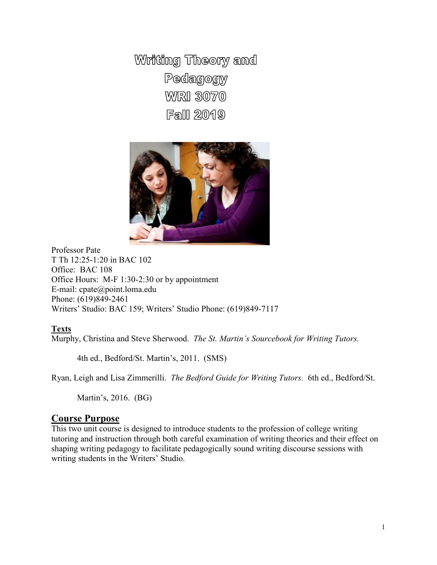Writing Theory and Pedagogy **WRI 3070 Fall 2019** 



Professor Pate T Th 12:25-1:20 in BAC 102 Office: BAC 108 Office Hours: M-F 1:30-2:30 or by appointment E-mail: cpate@point.loma.edu Phone: (619)849-2461 Writers' Studio: BAC 159; Writers' Studio Phone: (619)849-7117

## **Texts**

Murphy, Christina and Steve Sherwood. *The St. Martin's Sourcebook for Writing Tutors.*

4th ed., Bedford/St. Martin's, 2011. (SMS)

Ryan, Leigh and Lisa Zimmerilli. *The Bedford Guide for Writing Tutors.* 6th ed., Bedford/St.

Martin's, 2016. (BG)

## **Course Purpose**

This two unit course is designed to introduce students to the profession of college writing tutoring and instruction through both careful examination of writing theories and their effect on shaping writing pedagogy to facilitate pedagogically sound writing discourse sessions with writing students in the Writers' Studio.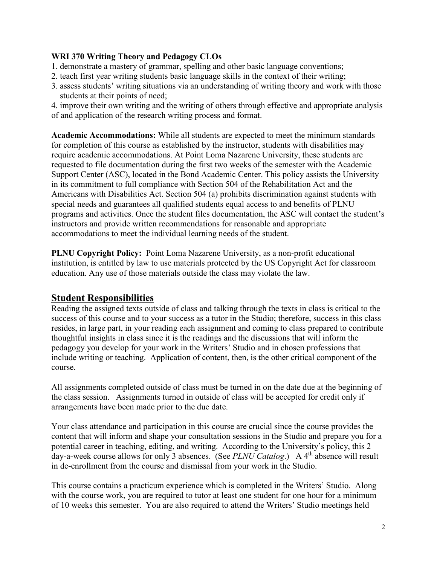## **WRI 370 Writing Theory and Pedagogy CLOs**

- 1. demonstrate a mastery of grammar, spelling and other basic language conventions;
- 2. teach first year writing students basic language skills in the context of their writing;
- 3. assess students' writing situations via an understanding of writing theory and work with those students at their points of need;

4. improve their own writing and the writing of others through effective and appropriate analysis of and application of the research writing process and format.

**Academic Accommodations:** While all students are expected to meet the minimum standards for completion of this course as established by the instructor, students with disabilities may require academic accommodations. At Point Loma Nazarene University, these students are requested to file documentation during the first two weeks of the semester with the Academic Support Center (ASC), located in the Bond Academic Center. This policy assists the University in its commitment to full compliance with Section 504 of the Rehabilitation Act and the Americans with Disabilities Act. Section 504 (a) prohibits discrimination against students with special needs and guarantees all qualified students equal access to and benefits of PLNU programs and activities. Once the student files documentation, the ASC will contact the student's instructors and provide written recommendations for reasonable and appropriate accommodations to meet the individual learning needs of the student.

**PLNU Copyright Policy:** Point Loma Nazarene University, as a non-profit educational institution, is entitled by law to use materials protected by the US Copyright Act for classroom education. Any use of those materials outside the class may violate the law.

# **Student Responsibilities**

Reading the assigned texts outside of class and talking through the texts in class is critical to the success of this course and to your success as a tutor in the Studio; therefore, success in this class resides, in large part, in your reading each assignment and coming to class prepared to contribute thoughtful insights in class since it is the readings and the discussions that will inform the pedagogy you develop for your work in the Writers' Studio and in chosen professions that include writing or teaching. Application of content, then, is the other critical component of the course.

All assignments completed outside of class must be turned in on the date due at the beginning of the class session. Assignments turned in outside of class will be accepted for credit only if arrangements have been made prior to the due date.

Your class attendance and participation in this course are crucial since the course provides the content that will inform and shape your consultation sessions in the Studio and prepare you for a potential career in teaching, editing, and writing. According to the University's policy, this 2 day-a-week course allows for only 3 absences. (See *PLNU Catalog*.) A 4<sup>th</sup> absence will result in de-enrollment from the course and dismissal from your work in the Studio.

This course contains a practicum experience which is completed in the Writers' Studio. Along with the course work, you are required to tutor at least one student for one hour for a minimum of 10 weeks this semester. You are also required to attend the Writers' Studio meetings held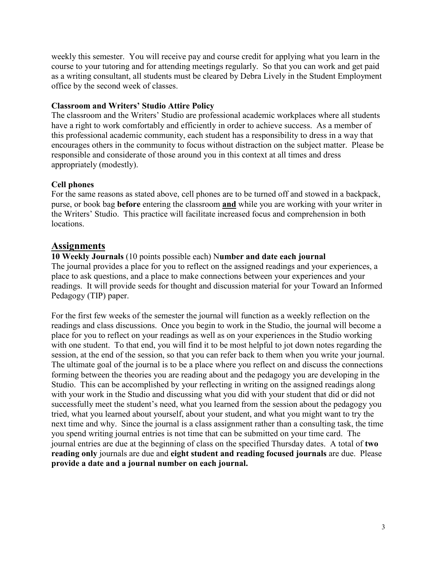weekly this semester. You will receive pay and course credit for applying what you learn in the course to your tutoring and for attending meetings regularly. So that you can work and get paid as a writing consultant, all students must be cleared by Debra Lively in the Student Employment office by the second week of classes.

## **Classroom and Writers' Studio Attire Policy**

The classroom and the Writers' Studio are professional academic workplaces where all students have a right to work comfortably and efficiently in order to achieve success. As a member of this professional academic community, each student has a responsibility to dress in a way that encourages others in the community to focus without distraction on the subject matter. Please be responsible and considerate of those around you in this context at all times and dress appropriately (modestly).

## **Cell phones**

For the same reasons as stated above, cell phones are to be turned off and stowed in a backpack, purse, or book bag **before** entering the classroom **and** while you are working with your writer in the Writers' Studio. This practice will facilitate increased focus and comprehension in both locations.

# **Assignments**

## **10 Weekly Journals** (10 points possible each) N**umber and date each journal** The journal provides a place for you to reflect on the assigned readings and your experiences, a place to ask questions, and a place to make connections between your experiences and your readings. It will provide seeds for thought and discussion material for your Toward an Informed Pedagogy (TIP) paper.

For the first few weeks of the semester the journal will function as a weekly reflection on the readings and class discussions. Once you begin to work in the Studio, the journal will become a place for you to reflect on your readings as well as on your experiences in the Studio working with one student. To that end, you will find it to be most helpful to jot down notes regarding the session, at the end of the session, so that you can refer back to them when you write your journal. The ultimate goal of the journal is to be a place where you reflect on and discuss the connections forming between the theories you are reading about and the pedagogy you are developing in the Studio. This can be accomplished by your reflecting in writing on the assigned readings along with your work in the Studio and discussing what you did with your student that did or did not successfully meet the student's need, what you learned from the session about the pedagogy you tried, what you learned about yourself, about your student, and what you might want to try the next time and why. Since the journal is a class assignment rather than a consulting task, the time you spend writing journal entries is not time that can be submitted on your time card. The journal entries are due at the beginning of class on the specified Thursday dates. A total of **two reading only** journals are due and **eight student and reading focused journals** are due. Please **provide a date and a journal number on each journal.**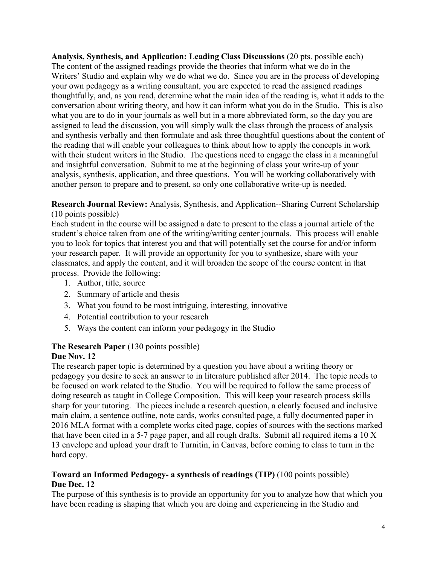**Analysis, Synthesis, and Application: Leading Class Discussions** (20 pts. possible each) The content of the assigned readings provide the theories that inform what we do in the Writers' Studio and explain why we do what we do. Since you are in the process of developing your own pedagogy as a writing consultant, you are expected to read the assigned readings thoughtfully, and, as you read, determine what the main idea of the reading is, what it adds to the conversation about writing theory, and how it can inform what you do in the Studio. This is also what you are to do in your journals as well but in a more abbreviated form, so the day you are assigned to lead the discussion, you will simply walk the class through the process of analysis and synthesis verbally and then formulate and ask three thoughtful questions about the content of the reading that will enable your colleagues to think about how to apply the concepts in work with their student writers in the Studio. The questions need to engage the class in a meaningful and insightful conversation. Submit to me at the beginning of class your write-up of your analysis, synthesis, application, and three questions. You will be working collaboratively with another person to prepare and to present, so only one collaborative write-up is needed.

**Research Journal Review:** Analysis, Synthesis, and Application--Sharing Current Scholarship (10 points possible)

Each student in the course will be assigned a date to present to the class a journal article of the student's choice taken from one of the writing/writing center journals. This process will enable you to look for topics that interest you and that will potentially set the course for and/or inform your research paper. It will provide an opportunity for you to synthesize, share with your classmates, and apply the content, and it will broaden the scope of the course content in that process. Provide the following:

- 1. Author, title, source
- 2. Summary of article and thesis
- 3. What you found to be most intriguing, interesting, innovative
- 4. Potential contribution to your research
- 5. Ways the content can inform your pedagogy in the Studio

## **The Research Paper** (130 points possible)

# **Due Nov. 12**

The research paper topic is determined by a question you have about a writing theory or pedagogy you desire to seek an answer to in literature published after 2014. The topic needs to be focused on work related to the Studio. You will be required to follow the same process of doing research as taught in College Composition. This will keep your research process skills sharp for your tutoring. The pieces include a research question, a clearly focused and inclusive main claim, a sentence outline, note cards, works consulted page, a fully documented paper in 2016 MLA format with a complete works cited page, copies of sources with the sections marked that have been cited in a 5-7 page paper, and all rough drafts. Submit all required items a 10 X 13 envelope and upload your draft to Turnitin, in Canvas, before coming to class to turn in the hard copy.

# **Toward an Informed Pedagogy- a synthesis of readings (TIP)** (100 points possible) **Due Dec. 12**

The purpose of this synthesis is to provide an opportunity for you to analyze how that which you have been reading is shaping that which you are doing and experiencing in the Studio and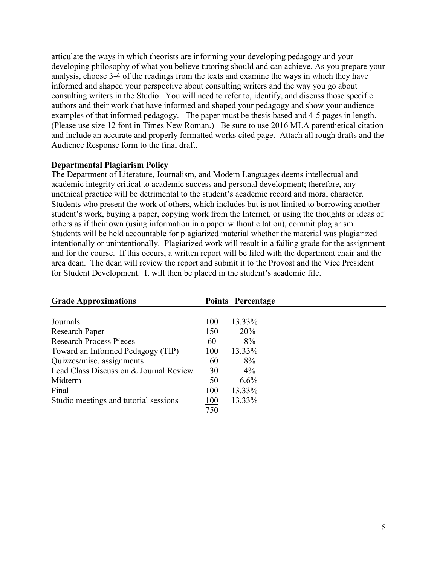articulate the ways in which theorists are informing your developing pedagogy and your developing philosophy of what you believe tutoring should and can achieve. As you prepare your analysis, choose 3-4 of the readings from the texts and examine the ways in which they have informed and shaped your perspective about consulting writers and the way you go about consulting writers in the Studio. You will need to refer to, identify, and discuss those specific authors and their work that have informed and shaped your pedagogy and show your audience examples of that informed pedagogy. The paper must be thesis based and 4-5 pages in length. (Please use size 12 font in Times New Roman.) Be sure to use 2016 MLA parenthetical citation and include an accurate and properly formatted works cited page. Attach all rough drafts and the Audience Response form to the final draft.

### **Departmental Plagiarism Policy**

The Department of Literature, Journalism, and Modern Languages deems intellectual and academic integrity critical to academic success and personal development; therefore, any unethical practice will be detrimental to the student's academic record and moral character. Students who present the work of others, which includes but is not limited to borrowing another student's work, buying a paper, copying work from the Internet, or using the thoughts or ideas of others as if their own (using information in a paper without citation), commit plagiarism. Students will be held accountable for plagiarized material whether the material was plagiarized intentionally or unintentionally. Plagiarized work will result in a failing grade for the assignment and for the course. If this occurs, a written report will be filed with the department chair and the area dean. The dean will review the report and submit it to the Provost and the Vice President for Student Development. It will then be placed in the student's academic file.

|     | Points Percentage |
|-----|-------------------|
|     |                   |
| 100 | 13.33%            |
| 150 | 20%               |
| 60  | 8%                |
| 100 | 13.33%            |
| 60  | 8%                |
| 30  | $4\%$             |
| 50  | 6.6%              |
| 100 | 13.33%            |
|     | 13.33%            |
| 750 |                   |
|     | 100               |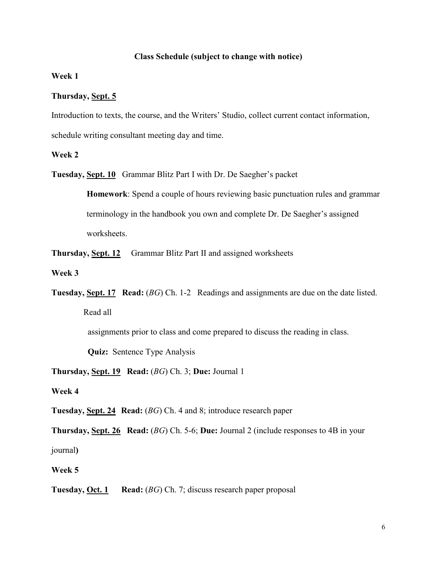### **Class Schedule (subject to change with notice)**

**Week 1**

### **Thursday, Sept. 5**

Introduction to texts, the course, and the Writers' Studio, collect current contact information,

schedule writing consultant meeting day and time.

### **Week 2**

**Tuesday, Sept. 10** Grammar Blitz Part I with Dr. De Saegher's packet

**Homework**: Spend a couple of hours reviewing basic punctuation rules and grammar terminology in the handbook you own and complete Dr. De Saegher's assigned worksheets.

**Thursday, Sept. 12** Grammar Blitz Part II and assigned worksheets

**Week 3**

**Tuesday, Sept. 17 Read:** (*BG*) Ch. 1-2 Readings and assignments are due on the date listed. Read all

assignments prior to class and come prepared to discuss the reading in class.

**Quiz:** Sentence Type Analysis

**Thursday, Sept. 19 Read:** (*BG*) Ch. 3; **Due:** Journal 1

**Week 4**

**Tuesday, Sept. 24 Read:** (*BG*) Ch. 4 and 8; introduce research paper

**Thursday, Sept. 26 Read:** (*BG*) Ch. 5-6; **Due:** Journal 2 (include responses to 4B in your

journal**)**

**Week 5**

**Tuesday, Oct. 1 Read:** (*BG*) Ch. 7; discuss research paper proposal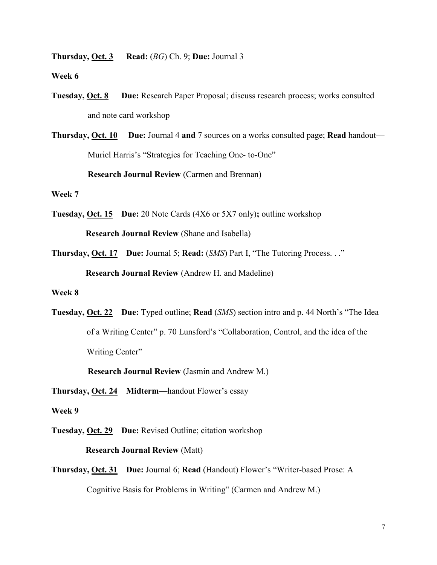**Thursday, Oct. 3 Read:** (*BG*) Ch. 9; **Due:** Journal 3

**Week 6**

**Tuesday, Oct. 8 Due:** Research Paper Proposal; discuss research process; works consulted and note card workshop

**Thursday, Oct. 10 Due:** Journal 4 **and** 7 sources on a works consulted page; **Read** handout— Muriel Harris's "Strategies for Teaching One- to-One" **Research Journal Review** (Carmen and Brennan)

#### **Week 7**

- **Tuesday, Oct. 15 Due:** 20 Note Cards (4X6 or 5X7 only)**;** outline workshop **Research Journal Review** (Shane and Isabella)
- **Thursday, Oct. 17 Due:** Journal 5; **Read:** (*SMS*) Part I, "The Tutoring Process. . ." **Research Journal Review** (Andrew H. and Madeline)

### **Week 8**

**Tuesday, Oct. 22 Due:** Typed outline; **Read** (*SMS*) section intro and p. 44 North's "The Idea of a Writing Center" p. 70 Lunsford's "Collaboration, Control, and the idea of the Writing Center"

**Research Journal Review** (Jasmin and Andrew M.)

**Thursday, Oct. 24 Midterm—**handout Flower's essay

#### **Week 9**

**Tuesday, Oct. 29 Due:** Revised Outline; citation workshop

 **Research Journal Review** (Matt)

**Thursday, Oct. 31 Due:** Journal 6; **Read** (Handout) Flower's "Writer-based Prose: A Cognitive Basis for Problems in Writing" (Carmen and Andrew M.)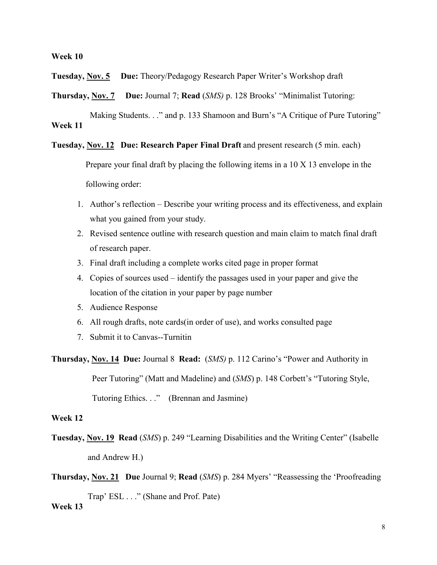#### **Week 10**

**Tuesday, Nov. 5 Due:** Theory/Pedagogy Research Paper Writer's Workshop draft

**Thursday, Nov. 7 Due:** Journal 7; **Read** (*SMS)* p. 128 Brooks' "Minimalist Tutoring:

Making Students. . ." and p. 133 Shamoon and Burn's "A Critique of Pure Tutoring" **Week 11**

**Tuesday, Nov. 12 Due: Research Paper Final Draft** and present research (5 min. each)

 Prepare your final draft by placing the following items in a 10 X 13 envelope in the following order:

- 1. Author's reflection Describe your writing process and its effectiveness, and explain what you gained from your study.
- 2. Revised sentence outline with research question and main claim to match final draft of research paper.
- 3. Final draft including a complete works cited page in proper format
- 4. Copies of sources used identify the passages used in your paper and give the location of the citation in your paper by page number
- 5. Audience Response
- 6. All rough drafts, note cards(in order of use), and works consulted page
- 7. Submit it to Canvas--Turnitin

**Thursday, Nov. 14 Due:** Journal 8 **Read:** (*SMS)* p. 112 Carino's "Power and Authority in Peer Tutoring" (Matt and Madeline) and (*SMS*) p. 148 Corbett's "Tutoring Style, Tutoring Ethics. . ." (Brennan and Jasmine)

#### **Week 12**

**Tuesday, Nov. 19 Read** (*SMS*) p. 249 "Learning Disabilities and the Writing Center" (Isabelle and Andrew H.)

**Thursday, Nov. 21 Due** Journal 9; **Read** (*SMS*) p. 284 Myers' "Reassessing the 'Proofreading Trap' ESL . . ." (Shane and Prof. Pate) **Week 13**